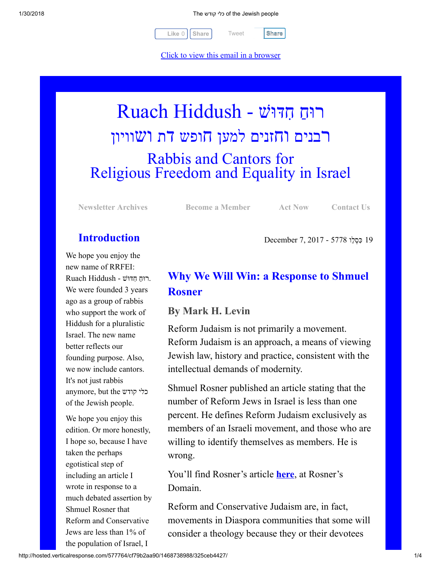[Tweet](https://twitter.com/intent/tweet?original_referer=http%3A%2F%2Fhosted.verticalresponse.com%2F577764%2Fcf79b2aa90%2F1468738988%2F325ceb4427%2F&ref_src=twsrc%5Etfw&text=The%20%D7%9B%D7%9C%D7%99%20%D7%A7%D7%95%D7%93%D7%A9%20of%20the%20Jewish%20people%3A&tw_p=tweetbutton&url=http%3A%2F%2Fhosted-p0.vresp.com%2F577764%2Fcf79b2aa90%2FARCHIVE%23.WnBCaqG85uI.twitter)

 $Like 0$   $\vert$  [Share](javascript:void(0);)  $\vert$  Tweet  $\vert$  Share

[Click to view this email in a browser](http://hosted.verticalresponse.com/577764/cf79b2aa90/TEST/TEST/)

# רוּחַ חִדּוּשׁ - Ruach Hiddush רבנים וחזנים למען חופש דת ושוויון Rabbis and Cantors for Religious Freedom and Equality in Israel

[Newsletter Archives](http://cts.vresp.com/c/?FreedomofReligionfor/cf79b2aa90/325ceb4427/c2ce850af1) [Become a Member](http://cts.vresp.com/c/?FreedomofReligionfor/cf79b2aa90/325ceb4427/e5979dd061) [Act Now](http://cts.vresp.com/c/?FreedomofReligionfor/cf79b2aa90/325ceb4427/0ee865dc26) [Contact Us](http://cts.vresp.com/c/?FreedomofReligionfor/cf79b2aa90/325ceb4427/cfd821a970)

19 ִכּ ְס ֵלו 5778 - 2017 7, December

# Introduction

We hope you enjoy the new name of RRFEI: . ַ רוּח ִ חדּוּשׁ - Hiddush Ruach We were founded 3 years ago as a group of rabbis who support the work of Hiddush for a pluralistic Israel. The new name better reflects our founding purpose. Also, we now include cantors. It's not just rabbis anymore, but the קודש כלי of the Jewish people.

We hope you enjoy this edition. Or more honestly, I hope so, because I have taken the perhaps egotistical step of including an article I wrote in response to a much debated assertion by Shmuel Rosner that Reform and Conservative Jews are less than 1% of the population of Israel, I

# Why We Will Win: a Response to Shmuel Rosner

### By Mark H. Levin

Reform Judaism is not primarily a movement. Reform Judaism is an approach, a means of viewing Jewish law, history and practice, consistent with the intellectual demands of modernity.

Shmuel Rosner published an article stating that the number of Reform Jews in Israel is less than one percent. He defines Reform Judaism exclusively as members of an Israeli movement, and those who are willing to identify themselves as members. He is wrong.

You'll find Rosner's article **[here](http://cts.vresp.com/c/?FreedomofReligionfor/cf79b2aa90/325ceb4427/0f663f9a90)**, at Rosner's Domain.

Reform and Conservative Judaism are, in fact, movements in Diaspora communities that some will consider a theology because they or their devotees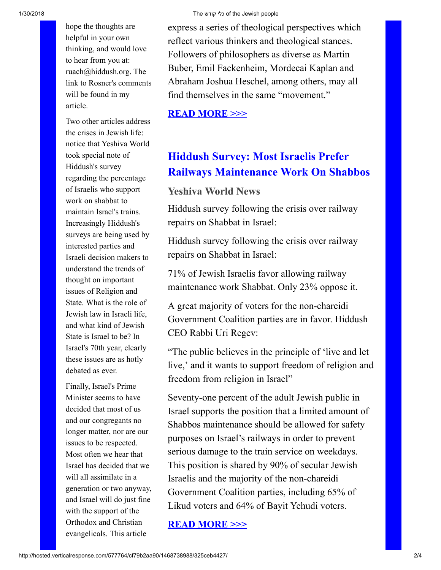hope the thoughts are helpful in your own thinking, and would love to hear from you at: ruach@hiddush.org. The link to Rosner's comments will be found in my article.

Two other articles address the crises in Jewish life: notice that Yeshiva World took special note of Hiddush's survey regarding the percentage of Israelis who support work on shabbat to maintain Israel's trains. Increasingly Hiddush's surveys are being used by interested parties and Israeli decision makers to understand the trends of thought on important issues of Religion and State. What is the role of Jewish law in Israeli life, and what kind of Jewish State is Israel to be? In Israel's 70th year, clearly these issues are as hotly debated as ever.

Finally, Israel's Prime Minister seems to have decided that most of us and our congregants no longer matter, nor are our issues to be respected. Most often we hear that Israel has decided that we will all assimilate in a generation or two anyway, and Israel will do just fine with the support of the Orthodox and Christian evangelicals. This article

express a series of theological perspectives which reflect various thinkers and theological stances. Followers of philosophers as diverse as Martin Buber, Emil Fackenheim, Mordecai Kaplan and Abraham Joshua Heschel, among others, may all find themselves in the same "movement."

[READ MORE >>>](http://cts.vresp.com/c/?FreedomofReligionfor/cf79b2aa90/325ceb4427/8935c051d1)

# Hiddush Survey: Most Israelis Prefer Railways Maintenance Work On Shabbos

## Yeshiva World News

Hiddush survey following the crisis over railway repairs on Shabbat in Israel:

Hiddush survey following the crisis over railway repairs on Shabbat in Israel:

71% of Jewish Israelis favor allowing railway maintenance work Shabbat. Only 23% oppose it.

A great majority of voters for the non-chareidi Government Coalition parties are in favor. Hiddush CEO Rabbi Uri Regev:

"The public believes in the principle of 'live and let live,' and it wants to support freedom of religion and freedom from religion in Israel"

Seventy-one percent of the adult Jewish public in Israel supports the position that a limited amount of Shabbos maintenance should be allowed for safety purposes on Israel's railways in order to prevent serious damage to the train service on weekdays. This position is shared by 90% of secular Jewish Israelis and the majority of the non-chareidi Government Coalition parties, including 65% of Likud voters and 64% of Bayit Yehudi voters.

[READ MORE >>>](http://cts.vresp.com/c/?FreedomofReligionfor/cf79b2aa90/325ceb4427/7874b5ae5e)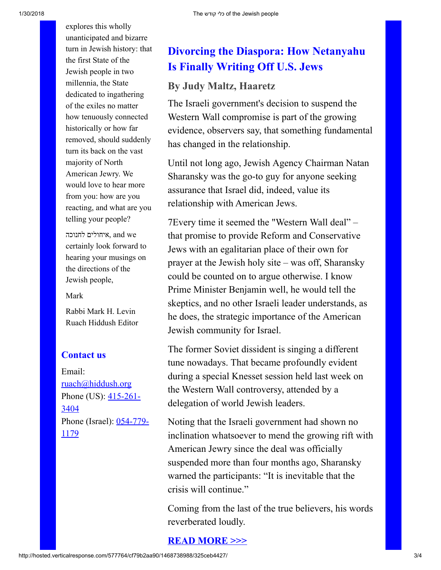explores this wholly unanticipated and bizarre turn in Jewish history: that the first State of the Jewish people in two millennia, the State dedicated to ingathering of the exiles no matter how tenuously connected historically or how far removed, should suddenly turn its back on the vast majority of North American Jewry. We would love to hear more from you: how are you reacting, and what are you telling your people?

איחולים לחנוכה, and we certainly look forward to hearing your musings on the directions of the Jewish people,

#### Mark

Rabbi Mark H. Levin Ruach Hiddush Editor

### Contact us

Email: [ruach@hiddush.org](http://cts.vresp.com/c/?FreedomofReligionfor/cf79b2aa90/325ceb4427/6b1e20c835) Phone (US):  $415-261-$ 3404 [Phone \(Israel\): 054-779-](http://cts.vresp.com/c/?FreedomofReligionfor/cf79b2aa90/325ceb4427/2a0565e436) 1179

# Divorcing the Diaspora: How Netanyahu Is Finally Writing Off U.S. Jews

### By Judy Maltz, Haaretz

The Israeli government's decision to suspend the Western Wall compromise is part of the growing evidence, observers say, that something fundamental has changed in the relationship.

Until not long ago, Jewish Agency Chairman Natan Sharansky was the go-to guy for anyone seeking assurance that Israel did, indeed, value its relationship with American Jews.

7Every time it seemed the "Western Wall deal" – that promise to provide Reform and Conservative Jews with an egalitarian place of their own for prayer at the Jewish holy site – was off, Sharansky could be counted on to argue otherwise. I know Prime Minister Benjamin well, he would tell the skeptics, and no other Israeli leader understands, as he does, the strategic importance of the American Jewish community for Israel.

The former Soviet dissident is singing a different tune nowadays. That became profoundly evident during a special Knesset session held last week on the Western Wall controversy, attended by a delegation of world Jewish leaders.

Noting that the Israeli government had shown no inclination whatsoever to mend the growing rift with American Jewry since the deal was officially suspended more than four months ago, Sharansky warned the participants: "It is inevitable that the crisis will continue."

Coming from the last of the true believers, his words reverberated loudly.

### [READ MORE >>>](http://cts.vresp.com/c/?FreedomofReligionfor/cf79b2aa90/325ceb4427/9d69d383bb)